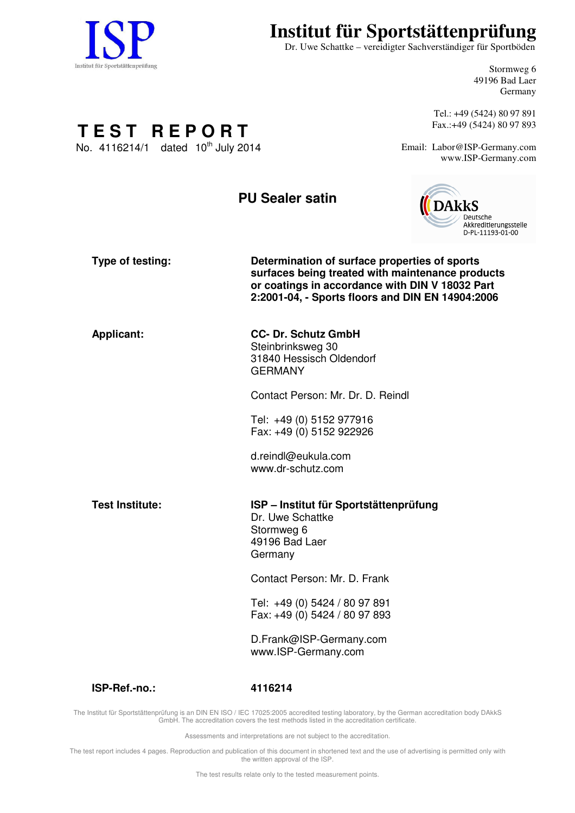

# **Institut für Sportstättenprüfung**

Dr. Uwe Schattke – vereidigter Sachverständiger für Sportböden

Stormweg 6 49196 Bad Laer Germany

Tel.: +49 (5424) 80 97 891 Fax.:+49 (5424) 80 97 893

Email: Labor@ISP-Germany.com www.ISP-Germany.com

**T E S T R E P O R T** No. 4116214/1 dated  $10^{th}$  July 2014

## **PU Sealer satin**



| Type of testing:       | Determination of surface properties of sports<br>surfaces being treated with maintenance products<br>or coatings in accordance with DIN V 18032 Part<br>2:2001-04, - Sports floors and DIN EN 14904:2006 |
|------------------------|----------------------------------------------------------------------------------------------------------------------------------------------------------------------------------------------------------|
| <b>Applicant:</b>      | <b>CC- Dr. Schutz GmbH</b><br>Steinbrinksweg 30<br>31840 Hessisch Oldendorf<br><b>GERMANY</b>                                                                                                            |
|                        | Contact Person: Mr. Dr. D. Reindl                                                                                                                                                                        |
|                        | Tel: +49 (0) 5152 977916<br>Fax: +49 (0) 5152 922926                                                                                                                                                     |
|                        | d.reindl@eukula.com<br>www.dr-schutz.com                                                                                                                                                                 |
| <b>Test Institute:</b> | ISP - Institut für Sportstättenprüfung<br>Dr. Uwe Schattke<br>Stormweg 6<br>49196 Bad Laer<br>Germany                                                                                                    |
|                        | Contact Person: Mr. D. Frank                                                                                                                                                                             |
|                        | Tel: +49 (0) 5424 / 80 97 891<br>Fax: +49 (0) 5424 / 80 97 893                                                                                                                                           |
|                        | D.Frank@ISP-Germany.com<br>www.ISP-Germany.com                                                                                                                                                           |
|                        |                                                                                                                                                                                                          |

The Institut für Sportstättenprüfung is an DIN EN ISO / IEC 17025:2005 accredited testing laboratory, by the German accreditation body DAkkS GmbH. The accreditation covers the test methods listed in the accreditation certificate.

**ISP-Ref.-no.: 4116214**

Assessments and interpretations are not subject to the accreditation.

The test report includes 4 pages. Reproduction and publication of this document in shortened text and the use of advertising is permitted only with the written approval of the ISP.

The test results relate only to the tested measurement points.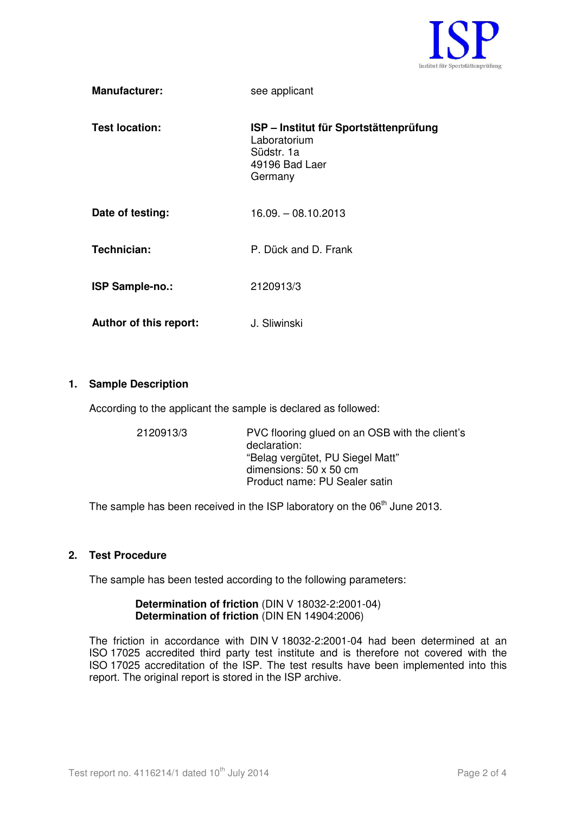

| <b>Manufacturer:</b>   | see applicant                                                                                     |
|------------------------|---------------------------------------------------------------------------------------------------|
| <b>Test location:</b>  | ISP - Institut für Sportstättenprüfung<br>Laboratorium<br>Südstr. 1a<br>49196 Bad Laer<br>Germany |
| Date of testing:       | $16.09 - 08.10.2013$                                                                              |
| Technician:            | P. Dück and D. Frank                                                                              |
| ISP Sample-no.:        | 2120913/3                                                                                         |
| Author of this report: | J. Sliwinski                                                                                      |

#### **1. Sample Description**

According to the applicant the sample is declared as followed:

| 2120913/3 | PVC flooring glued on an OSB with the client's<br>declaration:<br>"Belag vergütet, PU Siegel Matt"<br>dimensions: $50 \times 50$ cm<br>Product name: PU Sealer satin |
|-----------|----------------------------------------------------------------------------------------------------------------------------------------------------------------------|
|           |                                                                                                                                                                      |

The sample has been received in the ISP laboratory on the 06<sup>th</sup> June 2013.

#### **2. Test Procedure**

The sample has been tested according to the following parameters:

#### **Determination of friction** (DIN V 18032-2:2001-04) **Determination of friction** (DIN EN 14904:2006)

The friction in accordance with DIN V 18032-2:2001-04 had been determined at an ISO 17025 accredited third party test institute and is therefore not covered with the ISO 17025 accreditation of the ISP. The test results have been implemented into this report. The original report is stored in the ISP archive.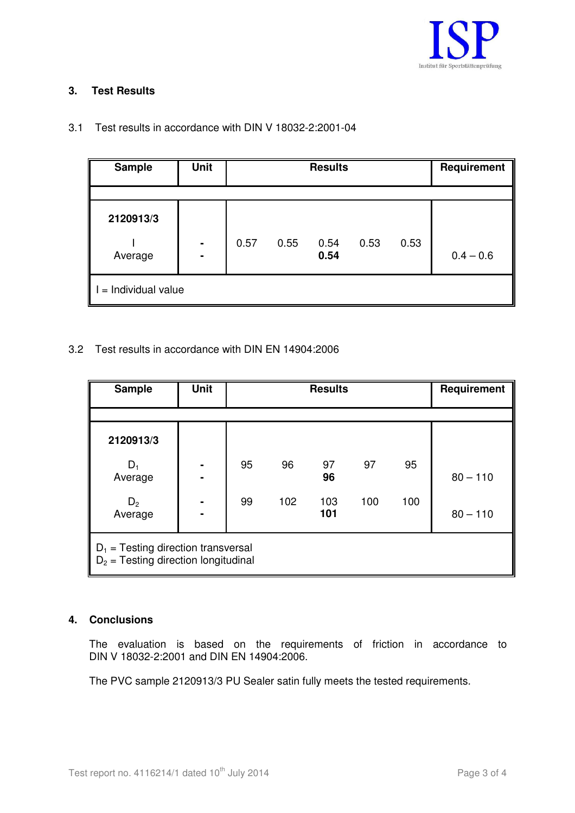

## **3. Test Results**

| <b>Sample</b>        | <b>Unit</b>                      | <b>Results</b> |      |              |      | Requirement |             |
|----------------------|----------------------------------|----------------|------|--------------|------|-------------|-------------|
|                      |                                  |                |      |              |      |             |             |
| 2120913/3            |                                  |                |      |              |      |             |             |
| Average              | $\blacksquare$<br>$\blacksquare$ | 0.57           | 0.55 | 0.54<br>0.54 | 0.53 | 0.53        | $0.4 - 0.6$ |
| $=$ Individual value |                                  |                |      |              |      |             |             |

3.1 Test results in accordance with DIN V 18032-2:2001-04

## 3.2 Test results in accordance with DIN EN 14904:2006

| <b>Sample</b>                                                                   | <b>Unit</b>         | <b>Results</b> |     |            |     | Requirement |            |
|---------------------------------------------------------------------------------|---------------------|----------------|-----|------------|-----|-------------|------------|
|                                                                                 |                     |                |     |            |     |             |            |
| 2120913/3                                                                       |                     |                |     |            |     |             |            |
| $D_1$<br>Average                                                                | ۰<br>$\blacksquare$ | 95             | 96  | 97<br>96   | 97  | 95          | $80 - 110$ |
| D <sub>2</sub><br>Average                                                       | ۰<br>$\blacksquare$ | 99             | 102 | 103<br>101 | 100 | 100         | $80 - 110$ |
| $D_1$ = Testing direction transversal<br>$D_2$ = Testing direction longitudinal |                     |                |     |            |     |             |            |

## **4. Conclusions**

The evaluation is based on the requirements of friction in accordance to DIN V 18032-2:2001 and DIN EN 14904:2006.

The PVC sample 2120913/3 PU Sealer satin fully meets the tested requirements.